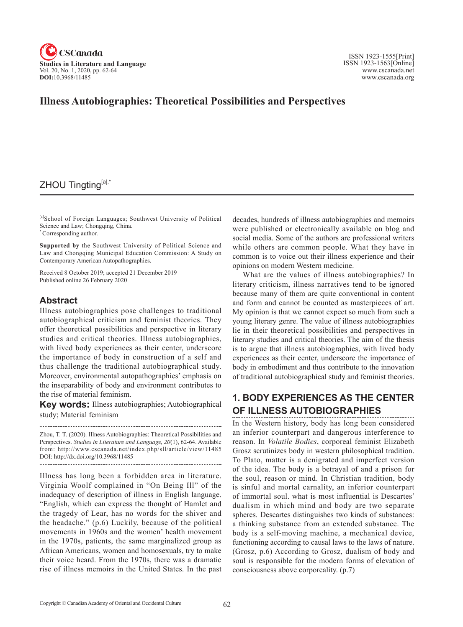

### **Illness Autobiographies: Theoretical Possibilities and Perspectives**

### ZHOU Tingting[a],\*

[a]School of Foreign Languages; Southwest University of Political Science and Law; Chongqing, China. \* Corresponding author.

**Supported by** the Southwest University of Political Science and Law and Chongqing Municipal Education Commission: A Study on Contemporary American Autopathographies.

Received 8 October 2019; accepted 21 December 2019 Published online 26 February 2020

#### **Abstract**

Illness autobiographies pose challenges to traditional autobiographical criticism and feminist theories. They offer theoretical possibilities and perspective in literary studies and critical theories. Illness autobiographies, with lived body experiences as their center, underscore the importance of body in construction of a self and thus challenge the traditional autobiographical study. Moreover, environmental autopathographies' emphasis on the inseparability of body and environment contributes to the rise of material feminism.

**Key words:** Illness autobiographies; Autobiographical study; Material feminism

Zhou, T. T. (2020). Illness Autobiographies: Theoretical Possibilities and Perspectives. *Studies in Literature and Language*, <sup>20</sup>(1), 62-64. Available from: http://www.cscanada.net/index.php/sll/article/view/11485 DOI: http://dx.doi.org/10.3968/11485

Illness has long been a forbidden area in literature. Virginia Woolf complained in "On Being Ill" of the inadequacy of description of illness in English language. "English, which can express the thought of Hamlet and the tragedy of Lear, has no words for the shiver and the headache." (p.6) Luckily, because of the political movements in 1960s and the women' health movement in the 1970s, patients, the same marginalized group as African Americans, women and homosexuals, try to make their voice heard. From the 1970s, there was a dramatic rise of illness memoirs in the United States. In the past

decades, hundreds of illness autobiographies and memoirs were published or electronically available on blog and social media. Some of the authors are professional writers while others are common people. What they have in common is to voice out their illness experience and their opinions on modern Western medicine.

What are the values of illness autobiographies? In literary criticism, illness narratives tend to be ignored because many of them are quite conventional in content and form and cannot be counted as masterpieces of art. My opinion is that we cannot expect so much from such a young literary genre. The value of illness autobiographies lie in their theoretical possibilities and perspectives in literary studies and critical theories. The aim of the thesis is to argue that illness autobiographies, with lived body experiences as their center, underscore the importance of body in embodiment and thus contribute to the innovation of traditional autobiographical study and feminist theories.

# **1. BODY EXPERIENCES AS THE CENTER OF ILLNESS AUTOBIOGRAPHIES**

In the Western history, body has long been considered an inferior counterpart and dangerous interference to reason. In *Volatile Bodies*, corporeal feminist Elizabeth Grosz scrutinizes body in western philosophical tradition. To Plato, matter is a denigrated and imperfect version of the idea. The body is a betrayal of and a prison for the soul, reason or mind. In Christian tradition, body is sinful and mortal carnality, an inferior counterpart of immortal soul. what is most influential is Descartes' dualism in which mind and body are two separate spheres. Descartes distinguishes two kinds of substances: a thinking substance from an extended substance. The body is a self-moving machine, a mechanical device, functioning according to causal laws to the laws of nature. (Grosz, p.6) According to Grosz, dualism of body and soul is responsible for the modern forms of elevation of consciousness above corporeality. (p.7)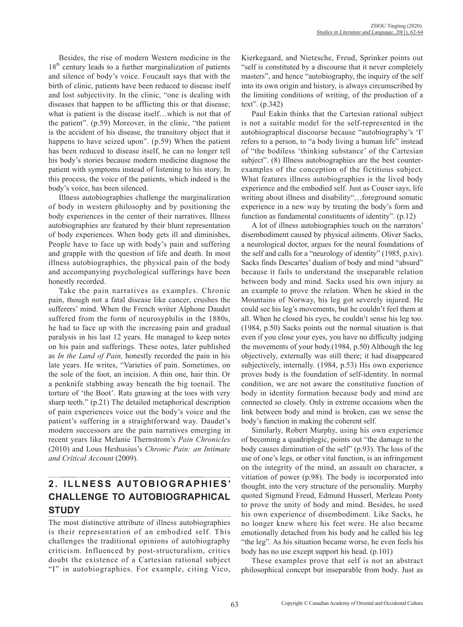Besides, the rise of modern Western medicine in the 18<sup>th</sup> century leads to a further marginalization of patients and silence of body's voice. Foucault says that with the birth of clinic, patients have been reduced to disease itself and lost subjectivity. In the clinic, "one is dealing with diseases that happen to be afflicting this or that disease; what is patient is the disease itself…which is not that of the patient". (p.59) Moreover, in the clinic, "the patient is the accident of his disease, the transitory object that it happens to have seized upon". (p.59) When the patient has been reduced to disease itself, he can no longer tell his body's stories because modern medicine diagnose the patient with symptoms instead of listening to his story. In this process, the voice of the patients, which indeed is the body's voice, has been silenced.

Illness autobiographies challenge the marginalization of body in western philosophy and by positioning the body experiences in the center of their narratives. Illness autobiographies are featured by their blunt representation of body experiences. When body gets ill and diminishes, People have to face up with body's pain and suffering and grapple with the question of life and death. In most illness autobiographies, the physical pain of the body and accompanying psychological sufferings have been honestly recorded.

Take the pain narratives as examples. Chronic pain, though not a fatal disease like cancer, crushes the sufferers' mind. When the French writer Alphone Daudet suffered from the form of neurosyphilis in the 1880s, he had to face up with the increasing pain and gradual paralysis in his last 12 years. He managed to keep notes on his pain and sufferings. These notes, later published as *In the Land of Pain,* honestly recorded the pain in his late years. He writes, "Varieties of pain. Sometimes, on the sole of the foot, an incision. A thin one, hair thin. Or a penknife stabbing away beneath the big toenail. The torture of 'the Boot'. Rats gnawing at the toes with very sharp teeth." (p.21) The detailed metaphorical description of pain experiences voice out the body's voice and the patient's suffering in a straightforward way. Daudet's modern successors are the pain narratives emerging in recent years like Melanie Thernstrom's *Pain Chronicles* (2010) and Lous Heshusius's *Chronic Pain: an Intimate and Critical Account* (2009)*.* 

#### **2 . I L L N E S S A U TO B I O G R A P H I E S ' CHALLENGE TO AUTOBIOGRAPHICAL STUDY**

The most distinctive attribute of illness autobiographies is their representation of an embodied self. This challenges the traditional opinions of autobiography criticism. Influenced by post-structuralism, critics doubt the existence of a Cartesian rational subject "I" in autobiographies. For example, citing Vico, Kierkegaard, and Nietzsche, Freud, Sprinker points out "self is constituted by a discourse that it never completely masters", and hence "autobiography, the inquiry of the self into its own origin and history, is always circumscribed by the limiting conditions of writing, of the production of a text". (p.342)

Paul Eakin thinks that the Cartesian rational subject is not a suitable model for the self-represented in the autobiographical discourse because "autobiography's 'I' refers to a person, to "a body living a human life" instead of "the bodiless 'thinking substance' of the Cartesian subject". (8) Illness autobiographies are the best counterexamples of the conception of the fictitious subject. What features illness autobiographies is the lived body experience and the embodied self. Just as Couser says, life writing about illness and disability"…foreground somatic experience in a new way by treating the body's form and function as fundamental constituents of identity". (p.12)

A lot of illness autobiographies touch on the narrators' disembodiment caused by physical ailments. Oliver Sacks, a neurological doctor, argues for the neural foundations of the self and calls for a "neurology of identity" (1985, p.xiv). Sacks finds Descartes' dualism of body and mind "absurd" because it fails to understand the inseparable relation between body and mind. Sacks used his own injury as an example to prove the relation. When he skied in the Mountains of Norway, his leg got severely injured. He could see his leg's movements, but he couldn't feel them at all. When he closed his eyes, he couldn't sense his leg too. (1984, p.50) Sacks points out the normal situation is that even if you close your eyes, you have no difficulty judging the movements of your body.(1984, p.50) Although the leg objectively, externally was still there; it had disappeared subjectively, internally. (1984, p.53) His own experience proves body is the foundation of self-identity. In normal condition, we are not aware the constitutive function of body in identity formation because body and mind are connected so closely. Only in extreme occasions when the link between body and mind is broken, can we sense the body's function in making the coherent self.

Similarly, Robert Murphy, using his own experience of becoming a quadriplegic, points out "the damage to the body causes diminution of the self" (p.93). The loss of the use of one's legs, or other vital function, is an infringement on the integrity of the mind, an assault on character, a vitiation of power (p.98). The body is incorporated into thought, into the very structure of the personality. Murphy quoted Sigmund Freud, Edmund Husserl, Merleau Ponty to prove the unity of body and mind. Besides, he used his own experience of disembodiment. Like Sacks, he no longer knew where his feet were. He also became emotionally detached from his body and he called his leg "the leg". As his situation became worse, he even feels his body has no use except support his head. (p.101)

These examples prove that self is not an abstract philosophical concept but inseparable from body. Just as